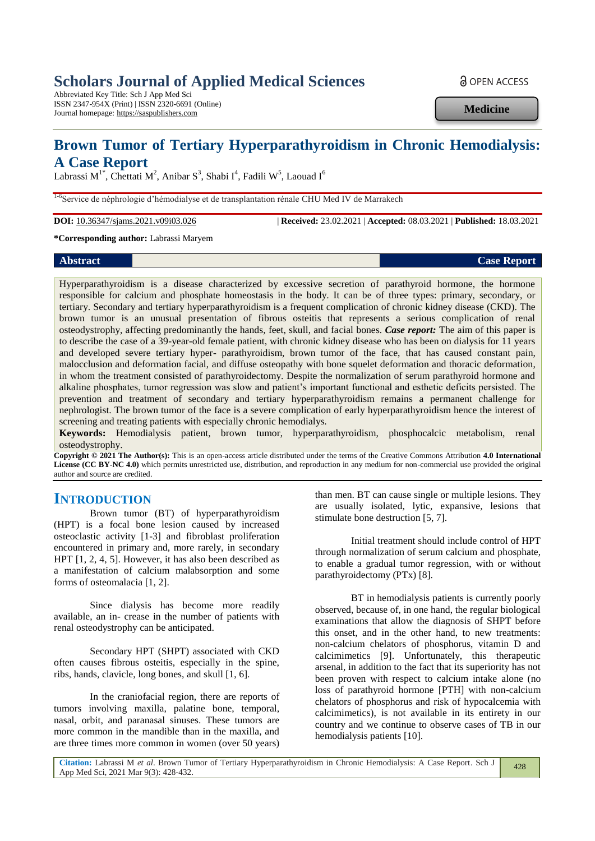# **Scholars Journal of Applied Medical Sciences**

Abbreviated Key Title: Sch J App Med Sci ISSN 2347-954X (Print) | ISSN 2320-6691 (Online) Journal homepage: https://saspublishers.com

**a** OPEN ACCESS

**Medicine**

## **Brown Tumor of Tertiary Hyperparathyroidism in Chronic Hemodialysis: A Case Report**

Labrassi M<sup>1\*</sup>, Chettati M<sup>2</sup>, Anibar S<sup>3</sup>, Shabi I<sup>4</sup>, Fadili W<sup>5</sup>, Laouad I<sup>6</sup>

<sup>1-6</sup>Service de néphrologie d'hémodialyse et de transplantation rénale CHU Med IV de Marrakech

**DOI:** 10.36347/sjams.2021.v09i03.026 | **Received:** 23.02.2021 | **Accepted:** 08.03.2021 | **Published:** 18.03.2021

**\*Corresponding author:** Labrassi Maryem

#### **Abstract Case Report Case Report**

Hyperparathyroidism is a disease characterized by excessive secretion of parathyroid hormone, the hormone responsible for calcium and phosphate homeostasis in the body. It can be of three types: primary, secondary, or tertiary. Secondary and tertiary hyperparathyroidism is a frequent complication of chronic kidney disease (CKD). The brown tumor is an unusual presentation of fibrous osteitis that represents a serious complication of renal osteodystrophy, affecting predominantly the hands, feet, skull, and facial bones. *Case report:* The aim of this paper is to describe the case of a 39-year-old female patient, with chronic kidney disease who has been on dialysis for 11 years and developed severe tertiary hyper- parathyroidism, brown tumor of the face, that has caused constant pain, malocclusion and deformation facial, and diffuse osteopathy with bone squelet deformation and thoracic deformation, in whom the treatment consisted of parathyroidectomy. Despite the normalization of serum parathyroid hormone and alkaline phosphates, tumor regression was slow and patient's important functional and esthetic deficits persisted. The prevention and treatment of secondary and tertiary hyperparathyroidism remains a permanent challenge for nephrologist. The brown tumor of the face is a severe complication of early hyperparathyroidism hence the interest of screening and treating patients with especially chronic hemodialys.

**Keywords:** Hemodialysis patient, brown tumor, hyperparathyroidism, phosphocalcic metabolism, renal osteodystrophy.

**Copyright © 2021 The Author(s):** This is an open-access article distributed under the terms of the Creative Commons Attribution **4.0 International License (CC BY-NC 4.0)** which permits unrestricted use, distribution, and reproduction in any medium for non-commercial use provided the original author and source are credited.

### **INTRODUCTION**

Brown tumor (BT) of hyperparathyroidism (HPT) is a focal bone lesion caused by increased osteoclastic activity [1-3] and fibroblast proliferation encountered in primary and, more rarely, in secondary HPT [1, 2, 4, 5]. However, it has also been described as a manifestation of calcium malabsorption and some forms of osteomalacia [1, 2].

Since dialysis has become more readily available, an in- crease in the number of patients with renal osteodystrophy can be anticipated.

Secondary HPT (SHPT) associated with CKD often causes fibrous osteitis, especially in the spine, ribs, hands, clavicle, long bones, and skull [1, 6].

In the craniofacial region, there are reports of tumors involving maxilla, palatine bone, temporal, nasal, orbit, and paranasal sinuses. These tumors are more common in the mandible than in the maxilla, and are three times more common in women (over 50 years)

than men. BT can cause single or multiple lesions. They are usually isolated, lytic, expansive, lesions that stimulate bone destruction [5, 7].

Initial treatment should include control of HPT through normalization of serum calcium and phosphate, to enable a gradual tumor regression, with or without parathyroidectomy (PTx) [8].

BT in hemodialysis patients is currently poorly observed, because of, in one hand, the regular biological examinations that allow the diagnosis of SHPT before this onset, and in the other hand, to new treatments: non-calcium chelators of phosphorus, vitamin D and calcimimetics [9]. Unfortunately, this therapeutic arsenal, in addition to the fact that its superiority has not been proven with respect to calcium intake alone (no loss of parathyroid hormone [PTH] with non-calcium chelators of phosphorus and risk of hypocalcemia with calcimimetics), is not available in its entirety in our country and we continue to observe cases of TB in our hemodialysis patients [10].

428

**Citation:** Labrassi M *et al*. Brown Tumor of Tertiary Hyperparathyroidism in Chronic Hemodialysis: A Case Report. Sch J App Med Sci, 2021 Mar 9(3): 428-432.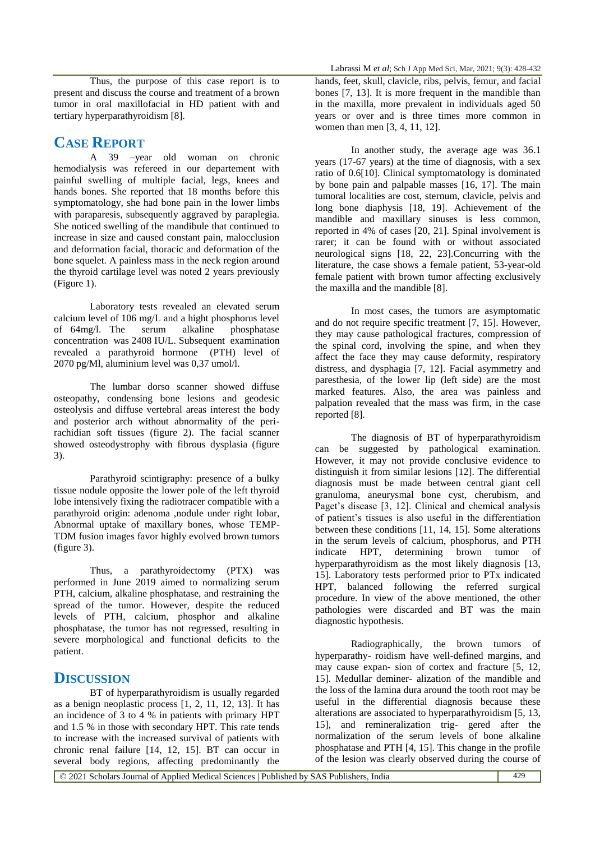Thus, the purpose of this case report is to present and discuss the course and treatment of a brown tumor in oral maxillofacial in HD patient with and tertiary hyperparathyroidism [8].

#### **CASE REPORT**

A 39 –year old woman on chronic hemodialysis was refereed in our departement with painful swelling of multiple facial, legs, knees and hands bones. She reported that 18 months before this symptomatology, she had bone pain in the lower limbs with paraparesis, subsequently aggraved by paraplegia. She noticed swelling of the mandibule that continued to increase in size and caused constant pain, malocclusion and deformation facial, thoracic and deformation of the bone squelet. A painless mass in the neck region around the thyroid cartilage level was noted 2 years previously (Figure 1).

Laboratory tests revealed an elevated serum calcium level of 106 mg/L and a hight phosphorus level<br>of 64mg/l. The serum alkaline phosphatase of  $64$ mg/l. The serum alkaline concentration was 2408 IU/L. Subsequent examination revealed a parathyroid hormone (PTH) level of 2070 pg/Ml, aluminium level was 0,37 umol/l.

The lumbar dorso scanner showed diffuse osteopathy, condensing bone lesions and geodesic osteolysis and diffuse vertebral areas interest the body and posterior arch without abnormality of the perirachidian soft tissues (figure 2). The facial scanner showed osteodystrophy with fibrous dysplasia (figure 3).

Parathyroid scintigraphy: presence of a bulky tissue nodule opposite the lower pole of the left thyroid lobe intensively fixing the radiotracer compatible with a parathyroid origin: adenoma ,nodule under right lobar, Abnormal uptake of maxillary bones, whose TEMP-TDM fusion images favor highly evolved brown tumors (figure 3).

Thus, a parathyroidectomy (PTX) was performed in June 2019 aimed to normalizing serum PTH, calcium, alkaline phosphatase, and restraining the spread of the tumor. However, despite the reduced levels of PTH, calcium, phosphor and alkaline phosphatase, the tumor has not regressed, resulting in severe morphological and functional deficits to the patient.

## **DISCUSSION**

BT of hyperparathyroidism is usually regarded as a benign neoplastic process [1, 2, 11, 12, 13]. It has an incidence of 3 to 4 % in patients with primary HPT and 1.5 % in those with secondary HPT. This rate tends to increase with the increased survival of patients with chronic renal failure [14, 12, 15]. BT can occur in several body regions, affecting predominantly the

hands, feet, skull, clavicle, ribs, pelvis, femur, and facial bones [7, 13]. It is more frequent in the mandible than in the maxilla, more prevalent in individuals aged 50 years or over and is three times more common in women than men [3, 4, 11, 12].

In another study, the average age was 36.1 years (17-67 years) at the time of diagnosis, with a sex ratio of 0.6[10]. Clinical symptomatology is dominated by bone pain and palpable masses [16, 17]. The main tumoral localities are cost, sternum, clavicle, pelvis and long bone diaphysis [18, 19]. Achievement of the mandible and maxillary sinuses is less common, reported in 4% of cases [20, 21]. Spinal involvement is rarer; it can be found with or without associated neurological signs [18, 22, 23].Concurring with the literature, the case shows a female patient, 53-year-old female patient with brown tumor affecting exclusively the maxilla and the mandible [8].

In most cases, the tumors are asymptomatic and do not require specific treatment [7, 15]. However, they may cause pathological fractures, compression of the spinal cord, involving the spine, and when they affect the face they may cause deformity, respiratory distress, and dysphagia [7, 12]. Facial asymmetry and paresthesia, of the lower lip (left side) are the most marked features. Also, the area was painless and palpation revealed that the mass was firm, in the case reported [8].

The diagnosis of BT of hyperparathyroidism can be suggested by pathological examination. However, it may not provide conclusive evidence to distinguish it from similar lesions [12]. The differential diagnosis must be made between central giant cell granuloma, aneurysmal bone cyst, cherubism, and Paget's disease [3, 12]. Clinical and chemical analysis of patient's tissues is also useful in the differentiation between these conditions [11, 14, 15]. Some alterations in the serum levels of calcium, phosphorus, and PTH indicate HPT, determining brown tumor of hyperparathyroidism as the most likely diagnosis [13, 15]. Laboratory tests performed prior to PTx indicated HPT, balanced following the referred surgical procedure. In view of the above mentioned, the other pathologies were discarded and BT was the main diagnostic hypothesis.

Radiographically, the brown tumors of hyperparathy- roidism have well-defined margins, and may cause expan- sion of cortex and fracture [5, 12, 15]. Medullar deminer- alization of the mandible and the loss of the lamina dura around the tooth root may be useful in the differential diagnosis because these alterations are associated to hyperparathyroidism [5, 13, 15], and remineralization trig- gered after the normalization of the serum levels of bone alkaline phosphatase and PTH [4, 15]. This change in the profile of the lesion was clearly observed during the course of

© 2021 Scholars Journal of Applied Medical Sciences | Published by SAS Publishers, India 429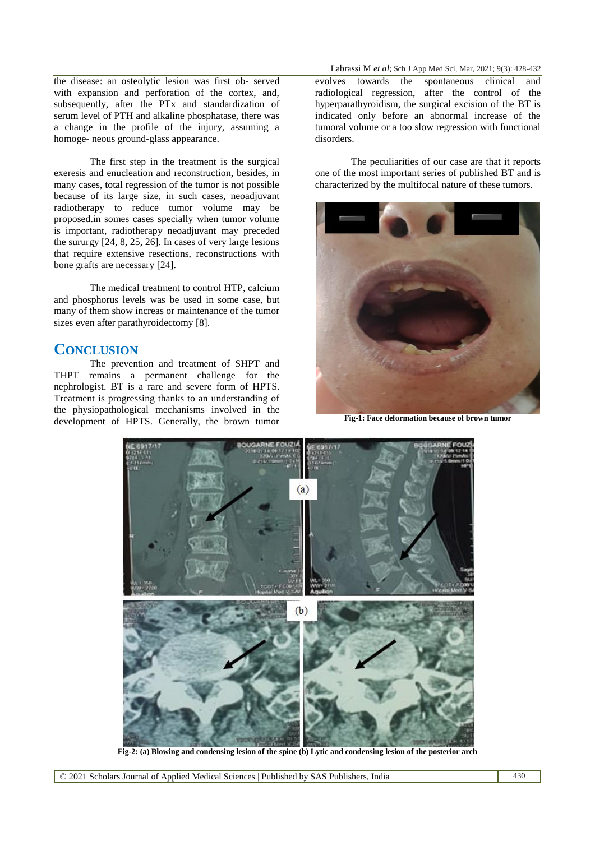the disease: an osteolytic lesion was first ob- served with expansion and perforation of the cortex, and, subsequently, after the PTx and standardization of serum level of PTH and alkaline phosphatase, there was a change in the profile of the injury, assuming a homoge- neous ground-glass appearance.

The first step in the treatment is the surgical exeresis and enucleation and reconstruction, besides, in many cases, total regression of the tumor is not possible because of its large size, in such cases, neoadjuvant radiotherapy to reduce tumor volume may be proposed.in somes cases specially when tumor volume is important, radiotherapy neoadjuvant may preceded the sururgy [24, 8, 25, 26]. In cases of very large lesions that require extensive resections, reconstructions with bone grafts are necessary [24].

The medical treatment to control HTP, calcium and phosphorus levels was be used in some case, but many of them show increas or maintenance of the tumor sizes even after parathyroidectomy [8].

#### **CONCLUSION**

The prevention and treatment of SHPT and THPT remains a permanent challenge for the nephrologist. BT is a rare and severe form of HPTS. Treatment is progressing thanks to an understanding of the physiopathological mechanisms involved in the development of HPTS. Generally, the brown tumor

Labrassi M *et al*; Sch J App Med Sci, Mar, 2021; 9(3): 428-432

evolves towards the spontaneous clinical and radiological regression, after the control of the hyperparathyroidism, the surgical excision of the BT is indicated only before an abnormal increase of the tumoral volume or a too slow regression with functional disorders.

The peculiarities of our case are that it reports one of the most important series of published BT and is characterized by the multifocal nature of these tumors.



**Fig-1: Face deformation because of brown tumor**



**Fig-2: (a) Blowing and condensing lesion of the spine (b) Lytic and condensing lesion of the posterior arch**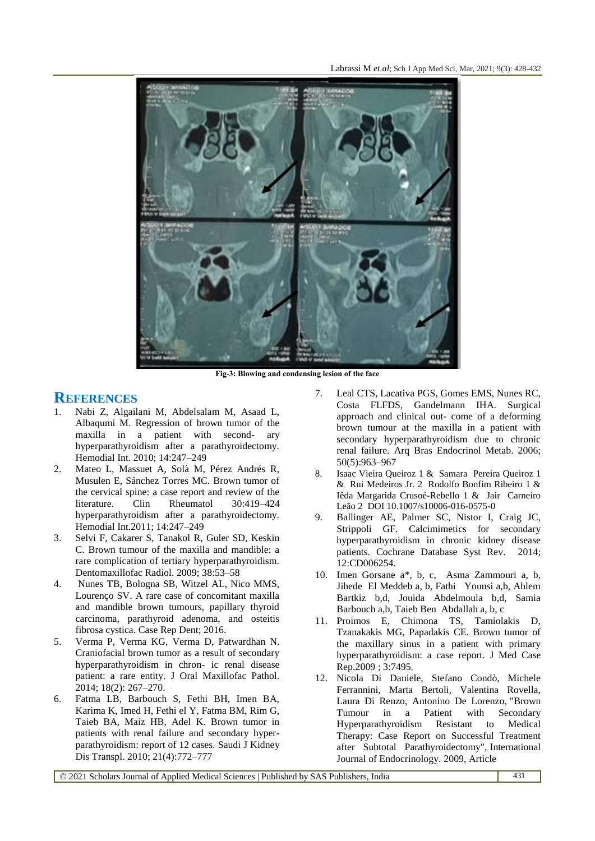

**Fig-3: Blowing and condensing lesion of the face**

#### **REFERENCES**

- 1. Nabi Z, Algailani M, Abdelsalam M, Asaad L, Albaqumi M. Regression of brown tumor of the maxilla in a patient with second- ary hyperparathyroidism after a parathyroidectomy. Hemodial Int. 2010; 14:247–249
- 2. Mateo L, Massuet A, Solà M, Pérez Andrés R, Musulen E, Sánchez Torres MC. Brown tumor of the cervical spine: a case report and review of the literature. Clin Rheumatol 30:419–424 hyperparathyroidism after a parathyroidectomy. Hemodial Int.2011; 14:247–249
- 3. Selvi F, Cakarer S, Tanakol R, Guler SD, Keskin C. Brown tumour of the maxilla and mandible: a rare complication of tertiary hyperparathyroidism. Dentomaxillofac Radiol. 2009; 38:53–58
- 4. Nunes TB, Bologna SB, Witzel AL, Nico MMS, Lourenço SV. A rare case of concomitant maxilla and mandible brown tumours, papillary thyroid carcinoma, parathyroid adenoma, and osteitis fibrosa cystica. Case Rep Dent; 2016.
- 5. Verma P, Verma KG, Verma D, Patwardhan N. Craniofacial brown tumor as a result of secondary hyperparathyroidism in chron- ic renal disease patient: a rare entity. J Oral Maxillofac Pathol. 2014; 18(2): 267–270.
- 6. Fatma LB, Barbouch S, Fethi BH, Imen BA, Karima K, Imed H, Fethi el Y, Fatma BM, Rim G, Taieb BA, Maiz HB, Adel K. Brown tumor in patients with renal failure and secondary hyperparathyroidism: report of 12 cases. Saudi J Kidney Dis Transpl. 2010; 21(4):772–777
- 7. Leal CTS, Lacativa PGS, Gomes EMS, Nunes RC, Costa FLFDS, Gandelmann IHA. Surgical approach and clinical out- come of a deforming brown tumour at the maxilla in a patient with secondary hyperparathyroidism due to chronic renal failure. Arq Bras Endocrinol Metab. 2006; 50(5):963–967
- 8. Isaac Vieira Queiroz 1 & Samara Pereira Queiroz 1 & Rui Medeiros Jr. 2 Rodolfo Bonfim Ribeiro 1 & Iêda Margarida Crusoé-Rebello 1 & Jair Carneiro Leão 2 DOI 10.1007/s10006-016-0575-0
- 9. Ballinger AE, Palmer SC, Nistor I, Craig JC, Strippoli GF. Calcimimetics for secondary hyperparathyroidism in chronic kidney disease patients. Cochrane Database Syst Rev. 2014; 12:CD006254.
- 10. Imen Gorsane a\*, b, c, Asma Zammouri a, b, Jihede El Meddeb a, b, Fathi Younsi a,b, Ahlem Bartkiz b,d, Jouida Abdelmoula b,d, Samia Barbouch a,b, Taieb Ben Abdallah a, b, c
- 11. Proimos E, Chimona TS, Tamiolakis D, Tzanakakis MG, Papadakis CE. Brown tumor of the maxillary sinus in a patient with primary hyperparathyroidism: a case report. J Med Case Rep.2009 ; 3:7495.
- 12. Nicola Di Daniele, Stefano Condò, Michele Ferrannini, Marta Bertoli, Valentina Rovella, Laura Di Renzo, Antonino De Lorenzo, "Brown Tumour in a Patient with Secondary Hyperparathyroidism Resistant to Medical Therapy: Case Report on Successful Treatment after Subtotal Parathyroidectomy", International Journal of Endocrinology. 2009, Article

© 2021 Scholars Journal of Applied Medical Sciences | Published by SAS Publishers, India 431